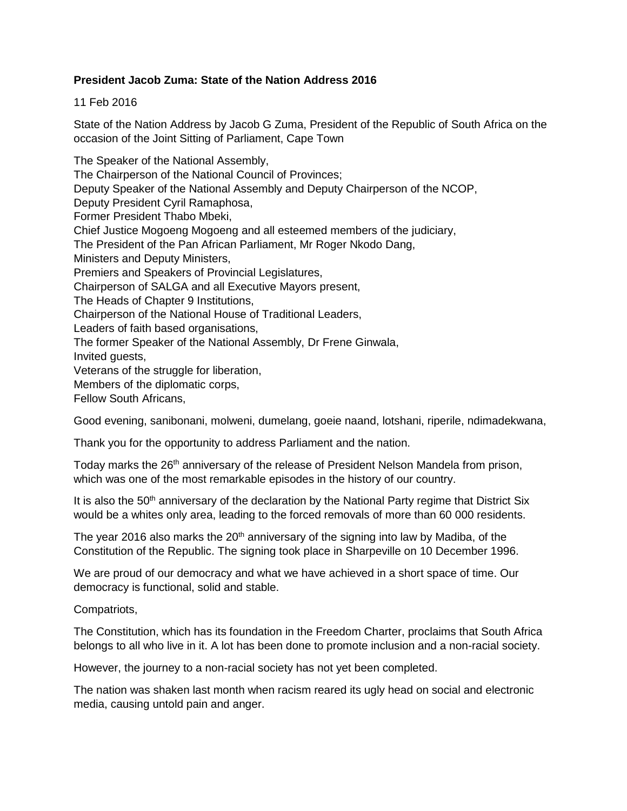# **President Jacob Zuma: State of the Nation Address 2016**

11 Feb 2016

State of the Nation Address by Jacob G Zuma, President of the Republic of South Africa on the occasion of the Joint Sitting of Parliament, Cape Town

The Speaker of the National Assembly, The Chairperson of the National Council of Provinces; Deputy Speaker of the National Assembly and Deputy Chairperson of the NCOP, Deputy President Cyril Ramaphosa, Former President Thabo Mbeki, Chief Justice Mogoeng Mogoeng and all esteemed members of the judiciary, The President of the Pan African Parliament, Mr Roger Nkodo Dang, Ministers and Deputy Ministers, Premiers and Speakers of Provincial Legislatures, Chairperson of SALGA and all Executive Mayors present, The Heads of Chapter 9 Institutions, Chairperson of the National House of Traditional Leaders, Leaders of faith based organisations, The former Speaker of the National Assembly, Dr Frene Ginwala, Invited guests, Veterans of the struggle for liberation, Members of the diplomatic corps, Fellow South Africans,

Good evening, sanibonani, molweni, dumelang, goeie naand, lotshani, riperile, ndimadekwana,

Thank you for the opportunity to address Parliament and the nation.

Today marks the 26<sup>th</sup> anniversary of the release of President Nelson Mandela from prison, which was one of the most remarkable episodes in the history of our country.

It is also the  $50<sup>th</sup>$  anniversary of the declaration by the National Party regime that District Six would be a whites only area, leading to the forced removals of more than 60 000 residents.

The year 2016 also marks the  $20<sup>th</sup>$  anniversary of the signing into law by Madiba, of the Constitution of the Republic. The signing took place in Sharpeville on 10 December 1996.

We are proud of our democracy and what we have achieved in a short space of time. Our democracy is functional, solid and stable.

Compatriots,

The Constitution, which has its foundation in the Freedom Charter, proclaims that South Africa belongs to all who live in it. A lot has been done to promote inclusion and a non-racial society.

However, the journey to a non-racial society has not yet been completed.

The nation was shaken last month when racism reared its ugly head on social and electronic media, causing untold pain and anger.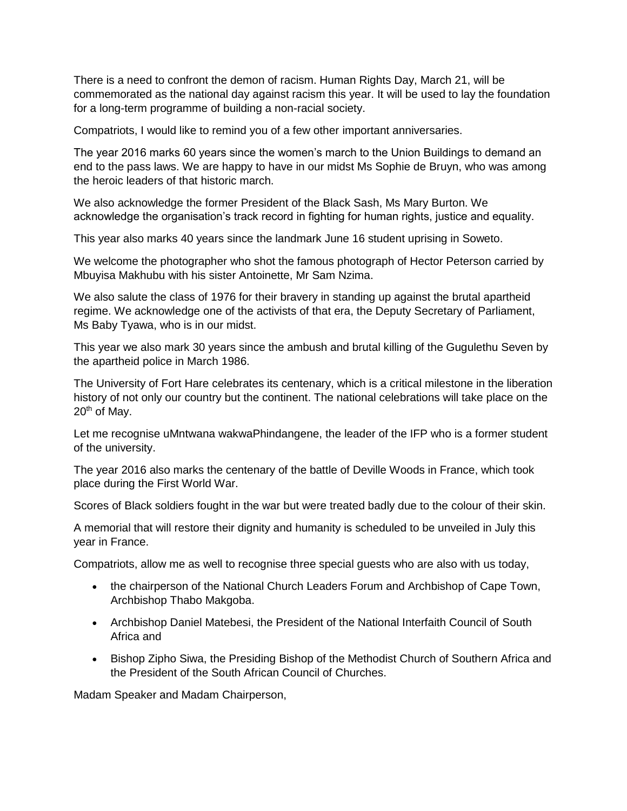There is a need to confront the demon of racism. Human Rights Day, March 21, will be commemorated as the national day against racism this year. It will be used to lay the foundation for a long-term programme of building a non-racial society.

Compatriots, I would like to remind you of a few other important anniversaries.

The year 2016 marks 60 years since the women's march to the Union Buildings to demand an end to the pass laws. We are happy to have in our midst Ms Sophie de Bruyn, who was among the heroic leaders of that historic march.

We also acknowledge the former President of the Black Sash, Ms Mary Burton. We acknowledge the organisation's track record in fighting for human rights, justice and equality.

This year also marks 40 years since the landmark June 16 student uprising in Soweto.

We welcome the photographer who shot the famous photograph of Hector Peterson carried by Mbuyisa Makhubu with his sister Antoinette, Mr Sam Nzima.

We also salute the class of 1976 for their bravery in standing up against the brutal apartheid regime. We acknowledge one of the activists of that era, the Deputy Secretary of Parliament, Ms Baby Tyawa, who is in our midst.

This year we also mark 30 years since the ambush and brutal killing of the Gugulethu Seven by the apartheid police in March 1986.

The University of Fort Hare celebrates its centenary, which is a critical milestone in the liberation history of not only our country but the continent. The national celebrations will take place on the  $20<sup>th</sup>$  of May.

Let me recognise uMntwana wakwaPhindangene, the leader of the IFP who is a former student of the university.

The year 2016 also marks the centenary of the battle of Deville Woods in France, which took place during the First World War.

Scores of Black soldiers fought in the war but were treated badly due to the colour of their skin.

A memorial that will restore their dignity and humanity is scheduled to be unveiled in July this year in France.

Compatriots, allow me as well to recognise three special guests who are also with us today,

- the chairperson of the National Church Leaders Forum and Archbishop of Cape Town, Archbishop Thabo Makgoba.
- Archbishop Daniel Matebesi, the President of the National Interfaith Council of South Africa and
- Bishop Zipho Siwa, the Presiding Bishop of the Methodist Church of Southern Africa and the President of the South African Council of Churches.

Madam Speaker and Madam Chairperson,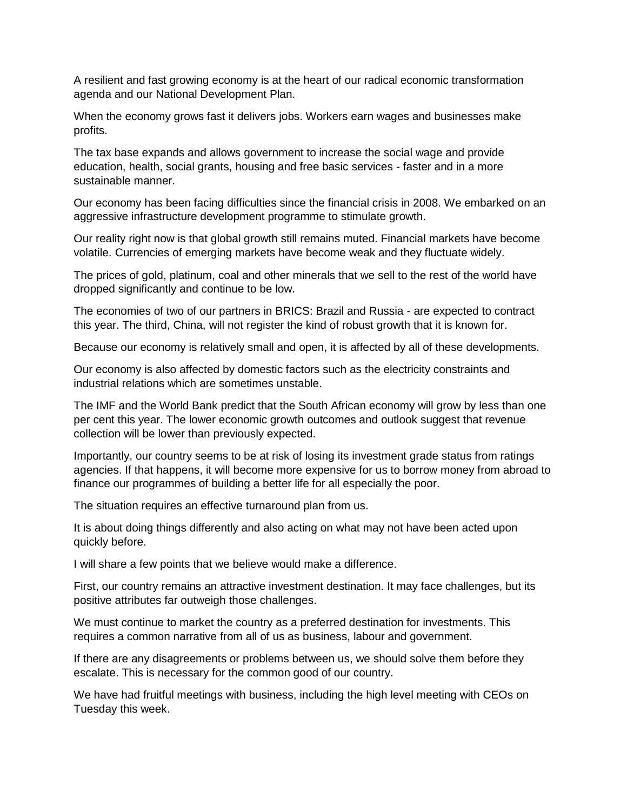A resilient and fast growing economy is at the heart of our radical economic transformation agenda and our National Development Plan.

When the economy grows fast it delivers jobs. Workers earn wages and businesses make profits.

The tax base expands and allows government to increase the social wage and provide education, health, social grants, housing and free basic services - faster and in a more sustainable manner.

Our economy has been facing difficulties since the financial crisis in 2008. We embarked on an aggressive infrastructure development programme to stimulate growth.

Our reality right now is that global growth still remains muted. Financial markets have become volatile. Currencies of emerging markets have become weak and they fluctuate widely.

The prices of gold, platinum, coal and other minerals that we sell to the rest of the world have dropped significantly and continue to be low.

The economies of two of our partners in BRICS: Brazil and Russia - are expected to contract this year. The third, China, will not register the kind of robust growth that it is known for.

Because our economy is relatively small and open, it is affected by all of these developments.

Our economy is also affected by domestic factors such as the electricity constraints and industrial relations which are sometimes unstable.

The IMF and the World Bank predict that the South African economy will grow by less than one per cent this year. The lower economic growth outcomes and outlook suggest that revenue collection will be lower than previously expected.

Importantly, our country seems to be at risk of losing its investment grade status from ratings agencies. If that happens, it will become more expensive for us to borrow money from abroad to finance our programmes of building a better life for all especially the poor.

The situation requires an effective turnaround plan from us.

It is about doing things differently and also acting on what may not have been acted upon quickly before.

I will share a few points that we believe would make a difference.

First, our country remains an attractive investment destination. It may face challenges, but its positive attributes far outweigh those challenges.

We must continue to market the country as a preferred destination for investments. This requires a common narrative from all of us as business, labour and government.

If there are any disagreements or problems between us, we should solve them before they escalate. This is necessary for the common good of our country.

We have had fruitful meetings with business, including the high level meeting with CEOs on Tuesday this week.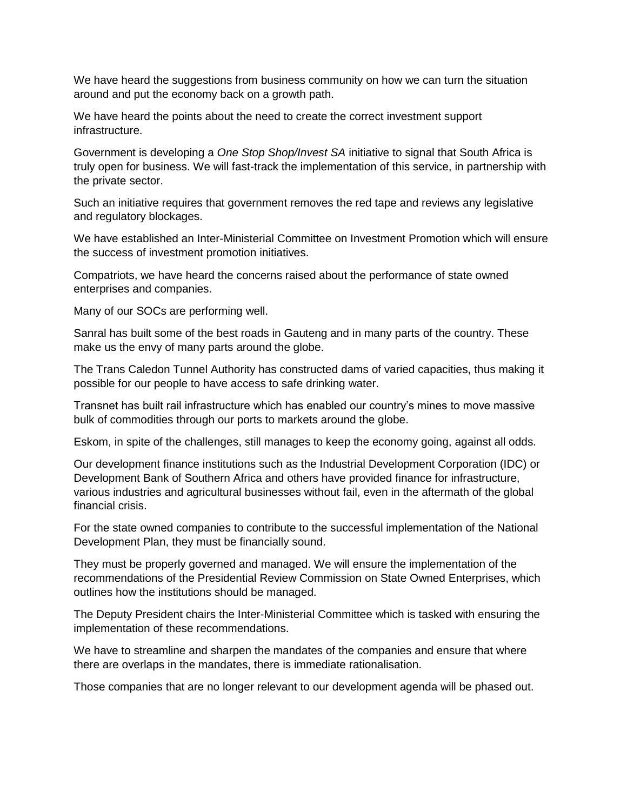We have heard the suggestions from business community on how we can turn the situation around and put the economy back on a growth path.

We have heard the points about the need to create the correct investment support infrastructure.

Government is developing a *One Stop Shop/Invest SA* initiative to signal that South Africa is truly open for business. We will fast-track the implementation of this service, in partnership with the private sector.

Such an initiative requires that government removes the red tape and reviews any legislative and regulatory blockages.

We have established an Inter-Ministerial Committee on Investment Promotion which will ensure the success of investment promotion initiatives.

Compatriots, we have heard the concerns raised about the performance of state owned enterprises and companies.

Many of our SOCs are performing well.

Sanral has built some of the best roads in Gauteng and in many parts of the country. These make us the envy of many parts around the globe.

The Trans Caledon Tunnel Authority has constructed dams of varied capacities, thus making it possible for our people to have access to safe drinking water.

Transnet has built rail infrastructure which has enabled our country's mines to move massive bulk of commodities through our ports to markets around the globe.

Eskom, in spite of the challenges, still manages to keep the economy going, against all odds.

Our development finance institutions such as the Industrial Development Corporation (IDC) or Development Bank of Southern Africa and others have provided finance for infrastructure, various industries and agricultural businesses without fail, even in the aftermath of the global financial crisis.

For the state owned companies to contribute to the successful implementation of the National Development Plan, they must be financially sound.

They must be properly governed and managed. We will ensure the implementation of the recommendations of the Presidential Review Commission on State Owned Enterprises, which outlines how the institutions should be managed.

The Deputy President chairs the Inter-Ministerial Committee which is tasked with ensuring the implementation of these recommendations.

We have to streamline and sharpen the mandates of the companies and ensure that where there are overlaps in the mandates, there is immediate rationalisation.

Those companies that are no longer relevant to our development agenda will be phased out.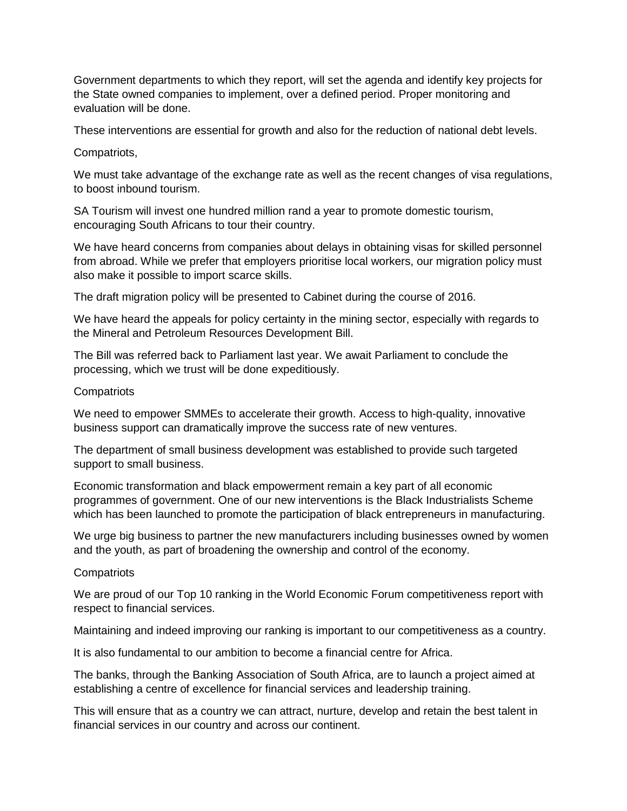Government departments to which they report, will set the agenda and identify key projects for the State owned companies to implement, over a defined period. Proper monitoring and evaluation will be done.

These interventions are essential for growth and also for the reduction of national debt levels.

Compatriots,

We must take advantage of the exchange rate as well as the recent changes of visa regulations, to boost inbound tourism.

SA Tourism will invest one hundred million rand a year to promote domestic tourism, encouraging South Africans to tour their country.

We have heard concerns from companies about delays in obtaining visas for skilled personnel from abroad. While we prefer that employers prioritise local workers, our migration policy must also make it possible to import scarce skills.

The draft migration policy will be presented to Cabinet during the course of 2016.

We have heard the appeals for policy certainty in the mining sector, especially with regards to the Mineral and Petroleum Resources Development Bill.

The Bill was referred back to Parliament last year. We await Parliament to conclude the processing, which we trust will be done expeditiously.

### **Compatriots**

We need to empower SMMEs to accelerate their growth. Access to high-quality, innovative business support can dramatically improve the success rate of new ventures.

The department of small business development was established to provide such targeted support to small business.

Economic transformation and black empowerment remain a key part of all economic programmes of government. One of our new interventions is the Black Industrialists Scheme which has been launched to promote the participation of black entrepreneurs in manufacturing.

We urge big business to partner the new manufacturers including businesses owned by women and the youth, as part of broadening the ownership and control of the economy.

## **Compatriots**

We are proud of our Top 10 ranking in the World Economic Forum competitiveness report with respect to financial services.

Maintaining and indeed improving our ranking is important to our competitiveness as a country.

It is also fundamental to our ambition to become a financial centre for Africa.

The banks, through the Banking Association of South Africa, are to launch a project aimed at establishing a centre of excellence for financial services and leadership training.

This will ensure that as a country we can attract, nurture, develop and retain the best talent in financial services in our country and across our continent.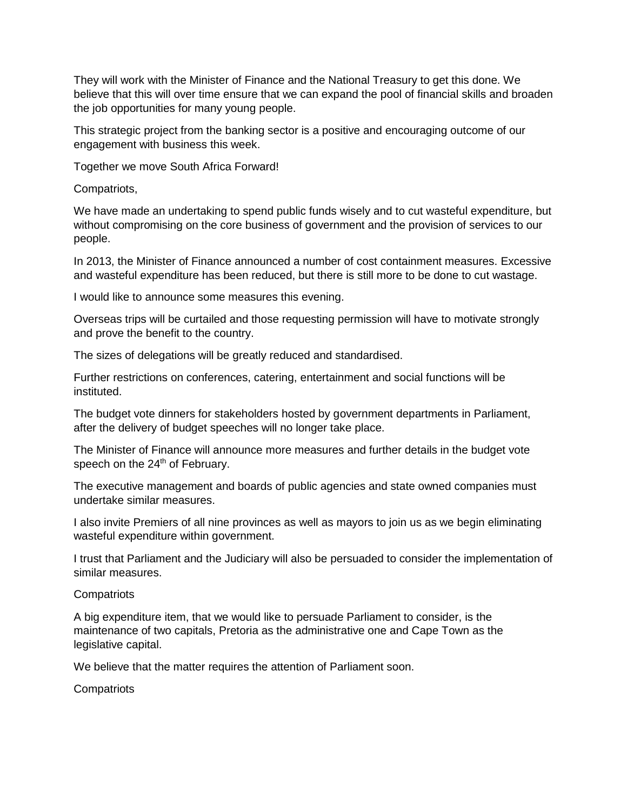They will work with the Minister of Finance and the National Treasury to get this done. We believe that this will over time ensure that we can expand the pool of financial skills and broaden the job opportunities for many young people.

This strategic project from the banking sector is a positive and encouraging outcome of our engagement with business this week.

Together we move South Africa Forward!

Compatriots,

We have made an undertaking to spend public funds wisely and to cut wasteful expenditure, but without compromising on the core business of government and the provision of services to our people.

In 2013, the Minister of Finance announced a number of cost containment measures. Excessive and wasteful expenditure has been reduced, but there is still more to be done to cut wastage.

I would like to announce some measures this evening.

Overseas trips will be curtailed and those requesting permission will have to motivate strongly and prove the benefit to the country.

The sizes of delegations will be greatly reduced and standardised.

Further restrictions on conferences, catering, entertainment and social functions will be instituted.

The budget vote dinners for stakeholders hosted by government departments in Parliament, after the delivery of budget speeches will no longer take place.

The Minister of Finance will announce more measures and further details in the budget vote speech on the 24<sup>th</sup> of February.

The executive management and boards of public agencies and state owned companies must undertake similar measures.

I also invite Premiers of all nine provinces as well as mayors to join us as we begin eliminating wasteful expenditure within government.

I trust that Parliament and the Judiciary will also be persuaded to consider the implementation of similar measures.

## **Compatriots**

A big expenditure item, that we would like to persuade Parliament to consider, is the maintenance of two capitals, Pretoria as the administrative one and Cape Town as the legislative capital.

We believe that the matter requires the attention of Parliament soon.

**Compatriots**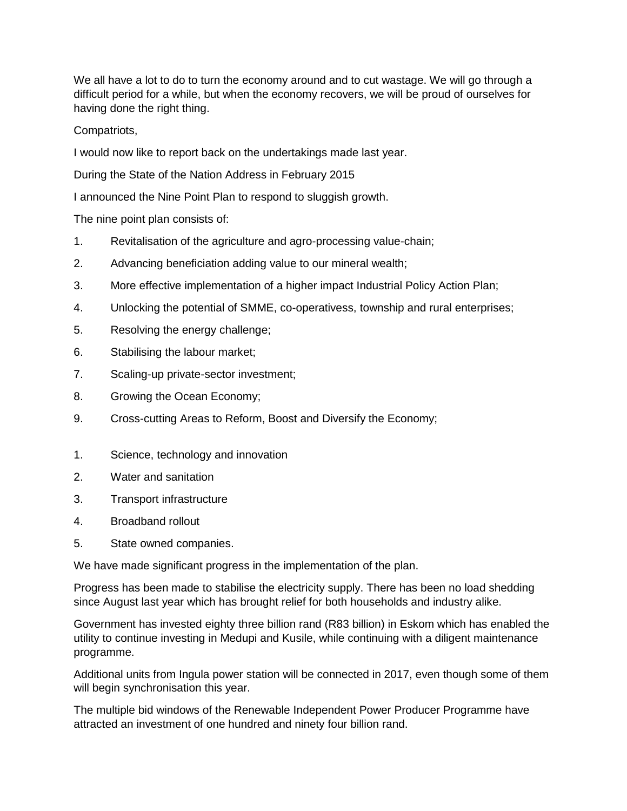We all have a lot to do to turn the economy around and to cut wastage. We will go through a difficult period for a while, but when the economy recovers, we will be proud of ourselves for having done the right thing.

Compatriots,

I would now like to report back on the undertakings made last year.

During the State of the Nation Address in February 2015

I announced the Nine Point Plan to respond to sluggish growth.

The nine point plan consists of:

- 1. Revitalisation of the agriculture and agro-processing value-chain;
- 2. Advancing beneficiation adding value to our mineral wealth;
- 3. More effective implementation of a higher impact Industrial Policy Action Plan;
- 4. Unlocking the potential of SMME, co-operativess, township and rural enterprises;
- 5. Resolving the energy challenge;
- 6. Stabilising the labour market;
- 7. Scaling-up private-sector investment;
- 8. Growing the Ocean Economy;
- 9. Cross-cutting Areas to Reform, Boost and Diversify the Economy;
- 1. Science, technology and innovation
- 2. Water and sanitation
- 3. Transport infrastructure
- 4. Broadband rollout
- 5. State owned companies.

We have made significant progress in the implementation of the plan.

Progress has been made to stabilise the electricity supply. There has been no load shedding since August last year which has brought relief for both households and industry alike.

Government has invested eighty three billion rand (R83 billion) in Eskom which has enabled the utility to continue investing in Medupi and Kusile, while continuing with a diligent maintenance programme.

Additional units from Ingula power station will be connected in 2017, even though some of them will begin synchronisation this year.

The multiple bid windows of the Renewable Independent Power Producer Programme have attracted an investment of one hundred and ninety four billion rand.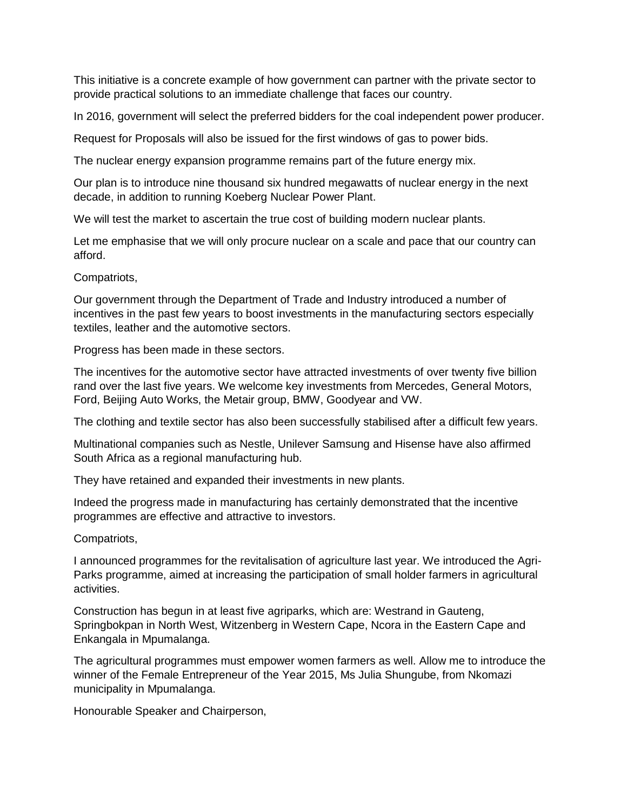This initiative is a concrete example of how government can partner with the private sector to provide practical solutions to an immediate challenge that faces our country.

In 2016, government will select the preferred bidders for the coal independent power producer.

Request for Proposals will also be issued for the first windows of gas to power bids.

The nuclear energy expansion programme remains part of the future energy mix.

Our plan is to introduce nine thousand six hundred megawatts of nuclear energy in the next decade, in addition to running Koeberg Nuclear Power Plant.

We will test the market to ascertain the true cost of building modern nuclear plants.

Let me emphasise that we will only procure nuclear on a scale and pace that our country can afford.

### Compatriots,

Our government through the Department of Trade and Industry introduced a number of incentives in the past few years to boost investments in the manufacturing sectors especially textiles, leather and the automotive sectors.

Progress has been made in these sectors.

The incentives for the automotive sector have attracted investments of over twenty five billion rand over the last five years. We welcome key investments from Mercedes, General Motors, Ford, Beijing Auto Works, the Metair group, BMW, Goodyear and VW.

The clothing and textile sector has also been successfully stabilised after a difficult few years.

Multinational companies such as Nestle, Unilever Samsung and Hisense have also affirmed South Africa as a regional manufacturing hub.

They have retained and expanded their investments in new plants.

Indeed the progress made in manufacturing has certainly demonstrated that the incentive programmes are effective and attractive to investors.

## Compatriots,

I announced programmes for the revitalisation of agriculture last year. We introduced the Agri-Parks programme, aimed at increasing the participation of small holder farmers in agricultural activities.

Construction has begun in at least five agriparks, which are: Westrand in Gauteng, Springbokpan in North West, Witzenberg in Western Cape, Ncora in the Eastern Cape and Enkangala in Mpumalanga.

The agricultural programmes must empower women farmers as well. Allow me to introduce the winner of the Female Entrepreneur of the Year 2015, Ms Julia Shungube, from Nkomazi municipality in Mpumalanga.

Honourable Speaker and Chairperson,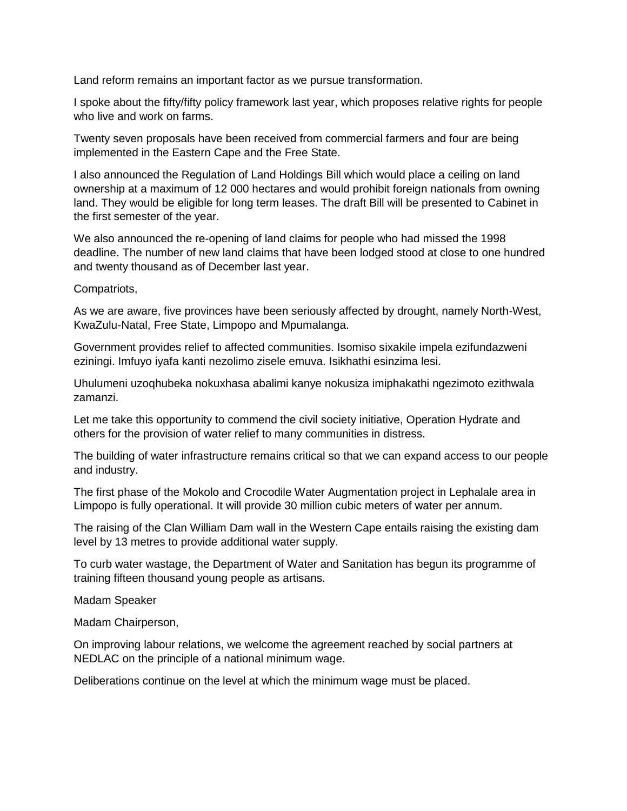Land reform remains an important factor as we pursue transformation.

I spoke about the fifty/fifty policy framework last year, which proposes relative rights for people who live and work on farms.

Twenty seven proposals have been received from commercial farmers and four are being implemented in the Eastern Cape and the Free State.

I also announced the Regulation of Land Holdings Bill which would place a ceiling on land ownership at a maximum of 12 000 hectares and would prohibit foreign nationals from owning land. They would be eligible for long term leases. The draft Bill will be presented to Cabinet in the first semester of the year.

We also announced the re-opening of land claims for people who had missed the 1998 deadline. The number of new land claims that have been lodged stood at close to one hundred and twenty thousand as of December last year.

Compatriots,

As we are aware, five provinces have been seriously affected by drought, namely North-West, KwaZulu-Natal, Free State, Limpopo and Mpumalanga.

Government provides relief to affected communities. Isomiso sixakile impela ezifundazweni eziningi. Imfuyo iyafa kanti nezolimo zisele emuva. Isikhathi esinzima lesi.

Uhulumeni uzoqhubeka nokuxhasa abalimi kanye nokusiza imiphakathi ngezimoto ezithwala zamanzi.

Let me take this opportunity to commend the civil society initiative, Operation Hydrate and others for the provision of water relief to many communities in distress.

The building of water infrastructure remains critical so that we can expand access to our people and industry.

The first phase of the Mokolo and Crocodile Water Augmentation project in Lephalale area in Limpopo is fully operational. It will provide 30 million cubic meters of water per annum.

The raising of the Clan William Dam wall in the Western Cape entails raising the existing dam level by 13 metres to provide additional water supply.

To curb water wastage, the Department of Water and Sanitation has begun its programme of training fifteen thousand young people as artisans.

Madam Speaker

Madam Chairperson,

On improving labour relations, we welcome the agreement reached by social partners at NEDLAC on the principle of a national minimum wage.

Deliberations continue on the level at which the minimum wage must be placed.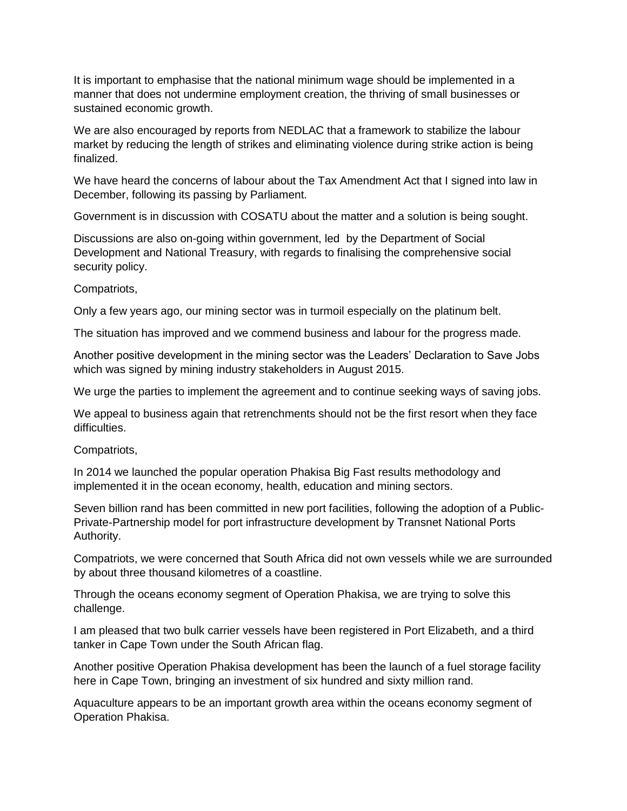It is important to emphasise that the national minimum wage should be implemented in a manner that does not undermine employment creation, the thriving of small businesses or sustained economic growth.

We are also encouraged by reports from NEDLAC that a framework to stabilize the labour market by reducing the length of strikes and eliminating violence during strike action is being finalized.

We have heard the concerns of labour about the Tax Amendment Act that I signed into law in December, following its passing by Parliament.

Government is in discussion with COSATU about the matter and a solution is being sought.

Discussions are also on-going within government, led by the Department of Social Development and National Treasury, with regards to finalising the comprehensive social security policy.

Compatriots,

Only a few years ago, our mining sector was in turmoil especially on the platinum belt.

The situation has improved and we commend business and labour for the progress made.

Another positive development in the mining sector was the Leaders' Declaration to Save Jobs which was signed by mining industry stakeholders in August 2015.

We urge the parties to implement the agreement and to continue seeking ways of saving jobs.

We appeal to business again that retrenchments should not be the first resort when they face difficulties.

Compatriots,

In 2014 we launched the popular operation Phakisa Big Fast results methodology and implemented it in the ocean economy, health, education and mining sectors.

Seven billion rand has been committed in new port facilities, following the adoption of a Public-Private-Partnership model for port infrastructure development by Transnet National Ports Authority.

Compatriots, we were concerned that South Africa did not own vessels while we are surrounded by about three thousand kilometres of a coastline.

Through the oceans economy segment of Operation Phakisa, we are trying to solve this challenge.

I am pleased that two bulk carrier vessels have been registered in Port Elizabeth, and a third tanker in Cape Town under the South African flag.

Another positive Operation Phakisa development has been the launch of a fuel storage facility here in Cape Town, bringing an investment of six hundred and sixty million rand.

Aquaculture appears to be an important growth area within the oceans economy segment of Operation Phakisa.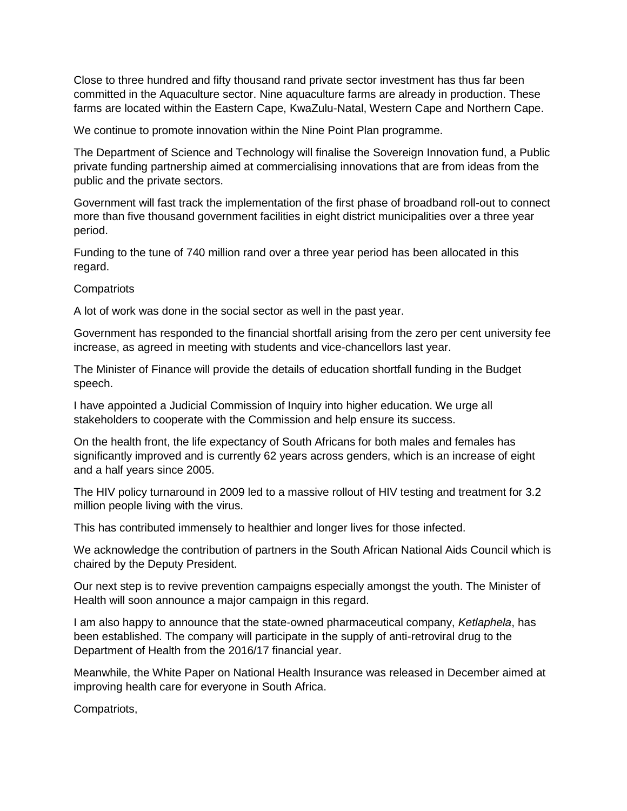Close to three hundred and fifty thousand rand private sector investment has thus far been committed in the Aquaculture sector. Nine aquaculture farms are already in production. These farms are located within the Eastern Cape, KwaZulu-Natal, Western Cape and Northern Cape.

We continue to promote innovation within the Nine Point Plan programme.

The Department of Science and Technology will finalise the Sovereign Innovation fund, a Public private funding partnership aimed at commercialising innovations that are from ideas from the public and the private sectors.

Government will fast track the implementation of the first phase of broadband roll-out to connect more than five thousand government facilities in eight district municipalities over a three year period.

Funding to the tune of 740 million rand over a three year period has been allocated in this regard.

**Compatriots** 

A lot of work was done in the social sector as well in the past year.

Government has responded to the financial shortfall arising from the zero per cent university fee increase, as agreed in meeting with students and vice-chancellors last year.

The Minister of Finance will provide the details of education shortfall funding in the Budget speech.

I have appointed a Judicial Commission of Inquiry into higher education. We urge all stakeholders to cooperate with the Commission and help ensure its success.

On the health front, the life expectancy of South Africans for both males and females has significantly improved and is currently 62 years across genders, which is an increase of eight and a half years since 2005.

The HIV policy turnaround in 2009 led to a massive rollout of HIV testing and treatment for 3.2 million people living with the virus.

This has contributed immensely to healthier and longer lives for those infected.

We acknowledge the contribution of partners in the South African National Aids Council which is chaired by the Deputy President.

Our next step is to revive prevention campaigns especially amongst the youth. The Minister of Health will soon announce a major campaign in this regard.

I am also happy to announce that the state-owned pharmaceutical company, *Ketlaphela*, has been established. The company will participate in the supply of anti-retroviral drug to the Department of Health from the 2016/17 financial year.

Meanwhile, the White Paper on National Health Insurance was released in December aimed at improving health care for everyone in South Africa.

Compatriots,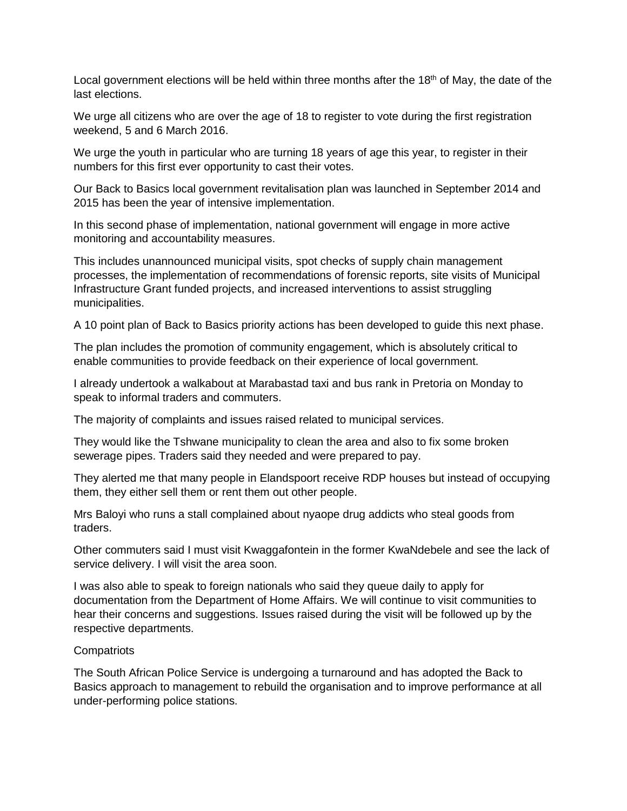Local government elections will be held within three months after the 18<sup>th</sup> of May, the date of the last elections.

We urge all citizens who are over the age of 18 to register to vote during the first registration weekend, 5 and 6 March 2016.

We urge the youth in particular who are turning 18 years of age this year, to register in their numbers for this first ever opportunity to cast their votes.

Our Back to Basics local government revitalisation plan was launched in September 2014 and 2015 has been the year of intensive implementation.

In this second phase of implementation, national government will engage in more active monitoring and accountability measures.

This includes unannounced municipal visits, spot checks of supply chain management processes, the implementation of recommendations of forensic reports, site visits of Municipal Infrastructure Grant funded projects, and increased interventions to assist struggling municipalities.

A 10 point plan of Back to Basics priority actions has been developed to guide this next phase.

The plan includes the promotion of community engagement, which is absolutely critical to enable communities to provide feedback on their experience of local government.

I already undertook a walkabout at Marabastad taxi and bus rank in Pretoria on Monday to speak to informal traders and commuters.

The majority of complaints and issues raised related to municipal services.

They would like the Tshwane municipality to clean the area and also to fix some broken sewerage pipes. Traders said they needed and were prepared to pay.

They alerted me that many people in Elandspoort receive RDP houses but instead of occupying them, they either sell them or rent them out other people.

Mrs Baloyi who runs a stall complained about nyaope drug addicts who steal goods from traders.

Other commuters said I must visit Kwaggafontein in the former KwaNdebele and see the lack of service delivery. I will visit the area soon.

I was also able to speak to foreign nationals who said they queue daily to apply for documentation from the Department of Home Affairs. We will continue to visit communities to hear their concerns and suggestions. Issues raised during the visit will be followed up by the respective departments.

#### **Compatriots**

The South African Police Service is undergoing a turnaround and has adopted the Back to Basics approach to management to rebuild the organisation and to improve performance at all under-performing police stations.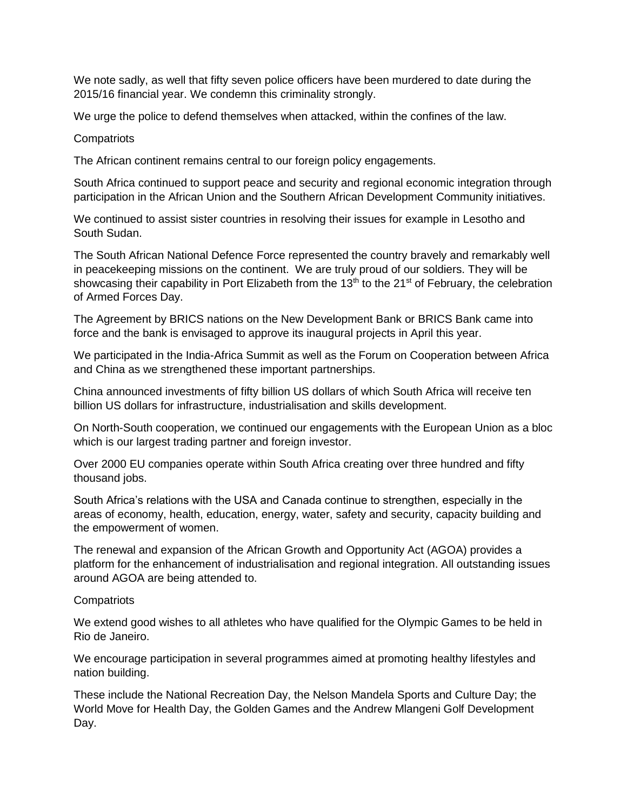We note sadly, as well that fifty seven police officers have been murdered to date during the 2015/16 financial year. We condemn this criminality strongly.

We urge the police to defend themselves when attacked, within the confines of the law.

#### **Compatriots**

The African continent remains central to our foreign policy engagements.

South Africa continued to support peace and security and regional economic integration through participation in the African Union and the Southern African Development Community initiatives.

We continued to assist sister countries in resolving their issues for example in Lesotho and South Sudan.

The South African National Defence Force represented the country bravely and remarkably well in peacekeeping missions on the continent. We are truly proud of our soldiers. They will be showcasing their capability in Port Elizabeth from the 13<sup>th</sup> to the 21<sup>st</sup> of February, the celebration of Armed Forces Day.

The Agreement by BRICS nations on the New Development Bank or BRICS Bank came into force and the bank is envisaged to approve its inaugural projects in April this year.

We participated in the India-Africa Summit as well as the Forum on Cooperation between Africa and China as we strengthened these important partnerships.

China announced investments of fifty billion US dollars of which South Africa will receive ten billion US dollars for infrastructure, industrialisation and skills development.

On North-South cooperation, we continued our engagements with the European Union as a bloc which is our largest trading partner and foreign investor.

Over 2000 EU companies operate within South Africa creating over three hundred and fifty thousand jobs.

South Africa's relations with the USA and Canada continue to strengthen, especially in the areas of economy, health, education, energy, water, safety and security, capacity building and the empowerment of women.

The renewal and expansion of the African Growth and Opportunity Act (AGOA) provides a platform for the enhancement of industrialisation and regional integration. All outstanding issues around AGOA are being attended to.

#### **Compatriots**

We extend good wishes to all athletes who have qualified for the Olympic Games to be held in Rio de Janeiro.

We encourage participation in several programmes aimed at promoting healthy lifestyles and nation building.

These include the National Recreation Day, the Nelson Mandela Sports and Culture Day; the World Move for Health Day, the Golden Games and the Andrew Mlangeni Golf Development Day.